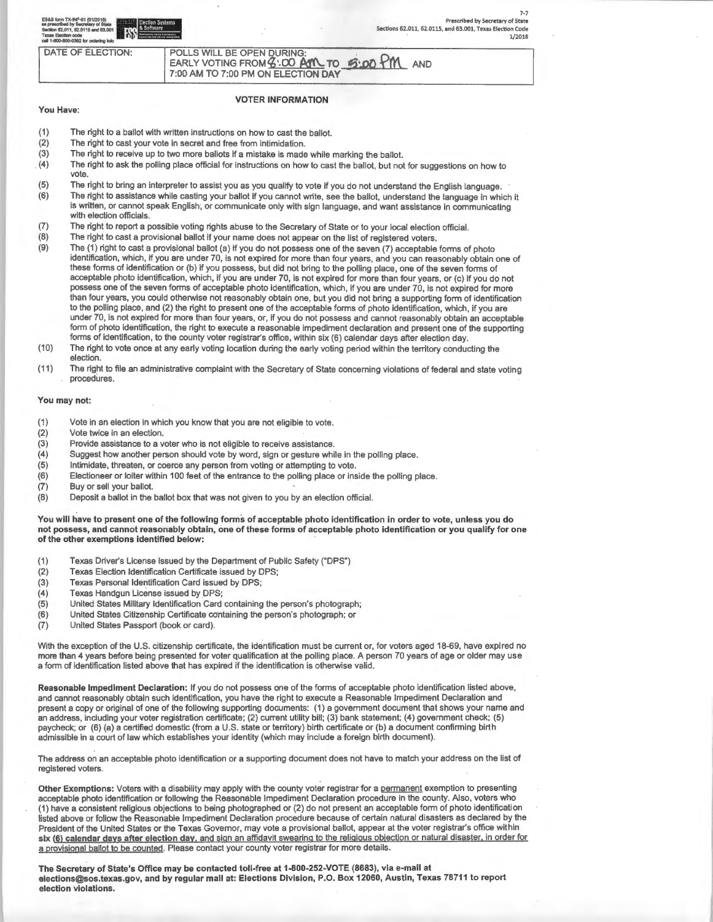| ES&S form TX-INF-01 (01/2018)<br><b>Lettrast   Election Systems</b><br>as prescribed by Secretary of State<br><b>From &amp; Software</b><br>Section 62.011, 62.0115 and 63.001<br><b>Texas Election code</b><br>call 1-800-800-0362 for ordering info |                                                                                                          | Prescribed by Secretary of State<br>Sections 62.011, 62.0115, and 63.001, Texas Election Code<br>1/2018 |
|-------------------------------------------------------------------------------------------------------------------------------------------------------------------------------------------------------------------------------------------------------|----------------------------------------------------------------------------------------------------------|---------------------------------------------------------------------------------------------------------|
| DATE OF ELECTION:                                                                                                                                                                                                                                     | POLLS WILL BE OPEN DURING:<br>EARLY VOTING FROM 3:00 AM TO 5:00 PM<br>7:00 AM TO 7:00 PM ON ELECTION DAY | <b>AND</b>                                                                                              |

### VOTER INFORMATION

# (1) The right to a ballot with written instructions on how to cast the ballot.

- (2) The right to cast your vote in secret and free from intimidation.
- (3) The right to receive up to two more ballots if a mistake is made while marking the ballot.
- . (4) The right to ask the polling place official for instructions on how to cast the ballot. but not for suggestions on how to vote.
- (5) The right to bring an interpreter to assist you as you qualify to vote if you do not understand the English language. (6) The right to assistance while casting your ballot if you cannot write, see the ballot, understand the language in which it is written, or cannot speak English; or communicate only with sign language, and want assistance in communicating with election officials.
- (7) The right to report a possible voting rights abuse to the Secretary of State or to your local election official.
- (8) The right to cast a provisional ballot if your name does not appear on the list of registered voters.
- (9) The (1) right to cast a provisional ballot (a) if you do not possess one of the seven (7) acceptable forms of photo identification, which, if you are under 70, is not expired for more than four years, and you can reasonably obtain one of these forms of identification or (b) if you possess. but did not bring to the polling place, one of the seven forms of acceptable photo identification. which, if you are under 70, is not expired for more than four years, or (c) if you do not possess one of the seven forms of acceptable photo identification. which, if you are under 70. is not expired for more than four years. you could otherwise not reasonably obtain one, but you did not bring a supporting form of identification to the polling place, and (2) the right to present one of the acceptable forms of photo identification, which, if you are under 70, is not expired for more than four years. or, if you do not possess and cannot reasonably obtain an acceptable form of photo identification. the right to execute a reasonable impediment declaration and present one of the supporting forms of identification, to the county voter registrar's office, within six (6) calendar days after election day.
- (10) The right to vote once at any early voting location during the early voting period within the territory conducting the election.
- (11) The right to file an administrative complaint with the Secretary of State concerning violations of federal and state voting procedures.

### You may not:

You Have:

- (1) Vote in an election in which you know that you are not eligible to vote.
- (2) Vote twice in an election.
- (3) Provide assistance to a voter who is not eligible to receive assistance.
- (4) Suggest how another person should vote by word , sign or gesture while in the polling place.
- (5) Intimidate. threaten. or coerce any person from voting or attempting to vote.
- (6) Electioneer or loiter within 100 feet of the entrance to the polling place or inside the polling place.
- (7) Buy or sell your ballot.
- (8) Deposit a ballot in the ballot box that was not given to you by an election official.

You will have to present one of the following forms of acceptable photo identification in order to vote, unless you do not possess, and cannot reasonably obtain, one of these forms of acceptable photo identification or you qualify for one of the other exemptions identified below:

- (1 ) Texas Driver's License issued by the Department of Public Safety ("DPS")
- (2) Texas Election Identification Certificate issued by DPS;
- Texas Personal Identification Card issued by DPS:
- (4) Texas Handgun License issued by DPS·;
- (5) United States Military Identification Card containing the person's photograph;
- (6) United States Citizenship Certificate containing the person's photograph; or
- (7) United States Passport (book or card).

With the exception of the U.S. citizenship certificate, the identification must be current or, for voters aged 18-69, have expired no more than 4 years before being presented for voter qualification at the polling place. A person 70 years of age or older may use a form of identification listed above that has expired if the identification is otherwise valid.

Reasonable Impediment Declaration: If you do not possess one of the forms of acceptable photo identification listed above, and cannot reasonably obtain such identification, you have the right to execute a Reasonable Impediment Declaration and present a copy or original of one of the following supporting documents: (1) a government document that shows your name and an address, including your voter registration certificate; (2) current utility bill; (3) bank statement; (4) government check; (5) paycheck; or (6) (a) a certified domestic (from a U.S. state or territory) birth certificate or (b) a document confirming birth admissible in a court of law which establishes your identity (which may include a foreign birth document).

The address on an acceptable photo identification or a supporting document does not have to match your address on the list of registered voters.

Other Exemptions: Voters with a disability may apply with the county voter registrar for a permanent exemption to presenting acceptable photo identification or following the Reasonable Impediment Declaration procedure in the county. Also, voters who (1 ) have a consistent religious objections to being photographed or (2) do not present an acceptable form of photo identification listed above or follow the Reasonable Impediment Declaration procedure because of certain natural disasters as declared by the President of the United States or the Texas Governor. may vote a provisional ballot. appear at the voter registrar's office within six (6) calendar days after election day, and sign an affidavit swearing to the religious objection or natural disaster, in order for a provisional ballot to be counted. Please contact your county voter registrar for more details.

The Secretary of State's Office may be contacted toll-free at 1-800-252-VOTE (8683), via e-mail at elections@sos.texas.gov, and by regular mail at: Elections Division, P.O. Box 12060, Austin, Texas 78711 to report election violations.